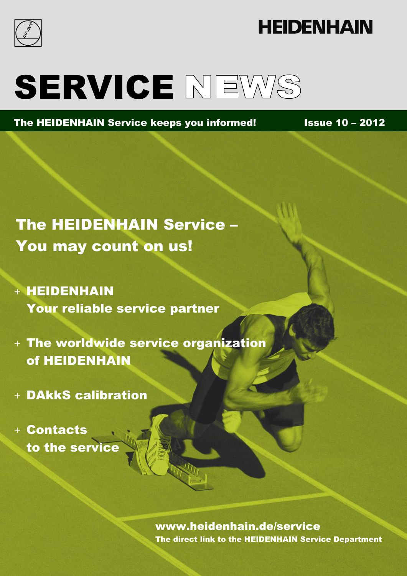

# **HEIDENHAIN**

# SERVICE NEWS

The HEIDENHAIN Service keeps you informed! Issue 10 - 2012

## The HEIDENHAIN Service – You may count on us!

- + HEIDENHAIN Your reliable service partner
- + The worldwide service organization of HEIDENHAIN
- + DAkkS calibration
- + Contacts to the service

www.heidenhain.de/service The direct link to the HEIDENHAIN Service Department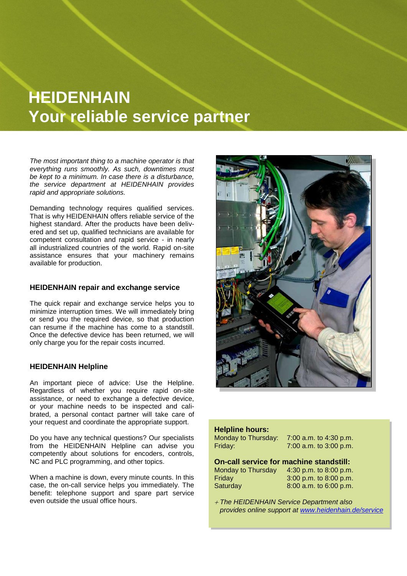## **HEIDENHAIN Your reliable service partner**

*The most important thing to a machine operator is that everything runs smoothly. As such, downtimes must be kept to a minimum. In case there is a disturbance, the service department at HEIDENHAIN provides rapid and appropriate solutions.*

Demanding technology requires qualified services. That is why HEIDENHAIN offers reliable service of the highest standard. After the products have been delivered and set up, qualified technicians are available for competent consultation and rapid service - in nearly all industrialized countries of the world. Rapid on-site assistance ensures that your machinery remains available for production.

#### **HEIDENHAIN repair and exchange service**

The quick repair and exchange service helps you to minimize interruption times. We will immediately bring or send you the required device, so that production can resume if the machine has come to a standstill. Once the defective device has been returned, we will only charge you for the repair costs incurred.

#### **HEIDENHAIN Helpline**

An important piece of advice: Use the Helpline. Regardless of whether you require rapid on-site assistance, or need to exchange a defective device, or your machine needs to be inspected and calibrated, a personal contact partner will take care of your request and coordinate the appropriate support.

Do you have any technical questions? Our specialists from the HEIDENHAIN Helpline can advise you competently about solutions for encoders, controls, NC and PLC programming, and other topics.

When a machine is down, every minute counts. In this case, the on-call service helps you immediately. The benefit: telephone support and spare part service even outside the usual office hours.



#### **Helpline hours:**

| Monday to Thursday:<br>Friday:                 | 7:00 a.m. to 4:30 p.m.<br>7:00 a.m. to 3:00 p.m. |
|------------------------------------------------|--------------------------------------------------|
| <b>On-call service for machine standstill:</b> |                                                  |
| Monday to Thursday                             | 4:30 p.m. to 8:00 p.m.                           |
| Friday                                         | 3:00 p.m. to 8:00 p.m.                           |
| Saturday                                       | 8:00 a.m. to 6:00 p.m.                           |
|                                                |                                                  |

 *The HEIDENHAIN Service Department also provides online support at [www.heidenhain.de/service](http://www.heidenhain.de/service)*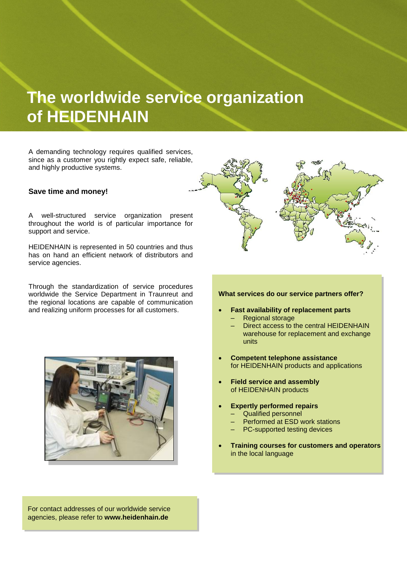### **The worldwide service organization of HEIDENHAIN**

A demanding technology requires qualified services, since as a customer you rightly expect safe, reliable, and highly productive systems.

#### **Save time and money!**

A well-structured service organization present throughout the world is of particular importance for support and service.

HEIDENHAIN is represented in 50 countries and thus has on hand an efficient network of distributors and service agencies.

Through the standardization of service procedures worldwide the Service Department in Traunreut and the regional locations are capable of communication and realizing uniform processes for all customers.





#### **What services do our service partners offer?**

- **Fast availability of replacement parts** – Regional storage
	- Direct access to the central HEIDENHAIN warehouse for replacement and exchange
- **Competent telephone assistance**  for HEIDENHAIN products and applications
- **Field service and assembly**  of HEIDENHAIN products

units

- **Expertly performed repairs**
	- Qualified personnel
	- Performed at ESD work stations
	- PC-supported testing devices
- **Training courses for customers and operators**  in the local language

For contact addresses of our worldwide service agencies, please refer to **www.heidenhain.de**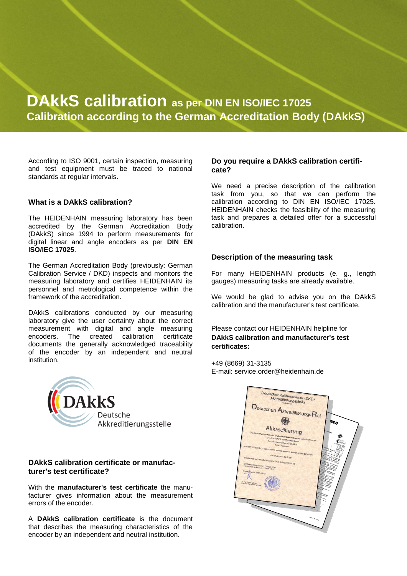### **DAkkS calibration as per DIN EN ISO/IEC 17025 Calibration according to the German Accreditation Body (DAkkS)**

According to ISO 9001, certain inspection, measuring and test equipment must be traced to national standards at regular intervals.

#### **What is a DAkkS calibration?**

The HEIDENHAIN measuring laboratory has been accredited by the German Accreditation Body (DAkkS) since 1994 to perform measurements for digital linear and angle encoders as per **DIN EN ISO/IEC 17025**.

The German Accreditation Body (previously: German Calibration Service / DKD) inspects and monitors the measuring laboratory and certifies HEIDENHAIN its personnel and metrological competence within the framework of the accreditation.

DAkkS calibrations conducted by our measuring laboratory give the user certainty about the correct measurement with digital and angle measuring encoders. The created calibration certificate documents the generally acknowledged traceability of the encoder by an independent and neutral institution.



#### **DAkkS calibration certificate or manufacturer's test certificate?**

With the **manufacturer's test certificate** the manufacturer gives information about the measurement errors of the encoder.

A **DAkkS calibration certificate** is the document that describes the measuring characteristics of the encoder by an independent and neutral institution.

#### **Do you require a DAkkS calibration certificate?**

We need a precise description of the calibration task from you, so that we can perform the calibration according to DIN EN ISO/IEC 17025. HEIDENHAIN checks the feasibility of the measuring task and prepares a detailed offer for a successful calibration.

#### **Description of the measuring task**

For many HEIDENHAIN products (e. g., length gauges) measuring tasks are already available.

We would be glad to advise you on the DAkkS calibration and the manufacturer's test certificate.

#### Please contact our HEIDENHAIN helpline for **DAkkS calibration and manufacturer's test certificates:**

+49 (8669) 31-3135 E-mail: service.order@heidenhain.de

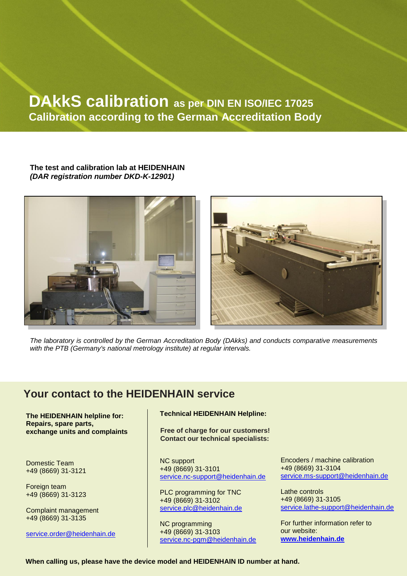### **DAkkS calibration as per DIN EN ISO/IEC 17025 Calibration according to the German Accreditation Body**

#### **The test and calibration lab at HEIDENHAIN** *(DAR registration number DKD-K-12901)*





*The laboratory is controlled by the German Accreditation Body (DAkks) and conducts comparative measurements with the PTB (Germany's national metrology institute) at regular intervals.*

### **Your contact to the HEIDENHAIN service**

**The HEIDENHAIN helpline for: Repairs, spare parts, exchange units and complaints**

Domestic Team +49 (8669) 31-3121

Foreign team +49 (8669) 31-3123

Complaint management +49 (8669) 31-3135

[service.order@heidenhain.de](mailto:service.order@heidenhain.de)

#### **Technical HEIDENHAIN Helpline:**

**Free of charge for our customers! Contact our technical specialists:**

NC support +49 (8669) 31-3101 [service.nc-support@heidenhain.de](mailto:service.ms-support@heidenhain.de)

PLC programming for TNC +49 (8669) 31-3102 [service.plc@heidenhain.de](mailto:%20service.plc@heidenhain.de)

NC programming +49 (8669) 31-3103 [service.nc-pgm@heidenhain.de](mailto:%20service.nc-pgm@heidenhain.de)

Encoders / machine calibration +49 (8669) 31-3104 [service.ms-support@heidenhain.de](mailto:service.ms-support@heidenhain.de)

Lathe controls +49 (8669) 31-3105 [service.lathe-support@heidenhain.de](mailto:service.lathe-support@heidenhain.de)

For further information refer to our website: **[www.heidenhain.de](http://www.heidenhain.de/)**

**When calling us, please have the device model and HEIDENHAIN ID number at hand.**